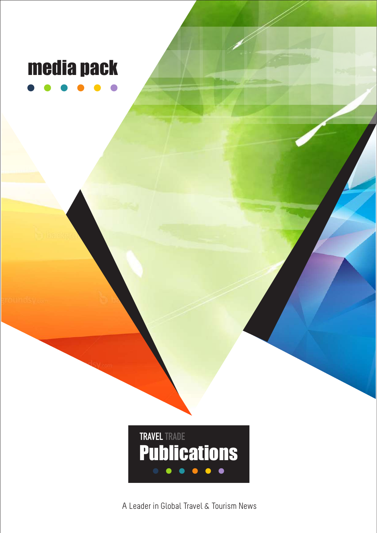# media pack

 **TRAVEL TRADE Publications** 

A Leader in Global Travel & Tourism News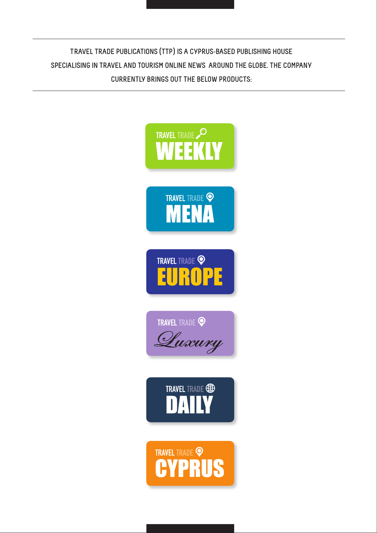**TRAVEL TRADE PUBLICATIONS (TTP) IS A CYPRUS-BASED PUBLISHING HOUSE SPECIALISING IN TRAVEL AND TOURISM ONLINE NEWS AROUND THE GLOBE. THE COMPANY CURRENTLY BRINGS OUT THE BELOW PRODUCTS:**

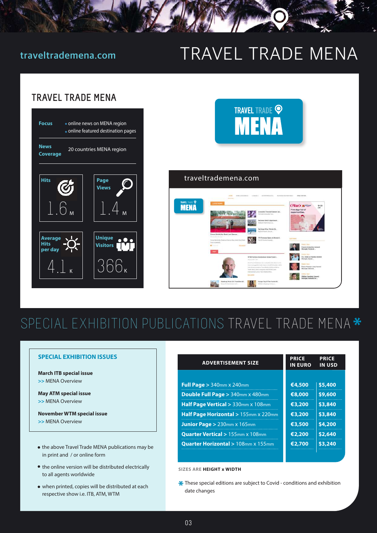# **traveltrademena.com** TRAVEL TRADE MENA

## **TRAVEL TRADE MENA**

| <b>Focus</b>                      | • online news on MENA region<br>· online featured destination pages |                                  |  |  |  |  |
|-----------------------------------|---------------------------------------------------------------------|----------------------------------|--|--|--|--|
| <b>News</b><br>Coverage           | 20 countries MENA region                                            |                                  |  |  |  |  |
| Hits                              | G                                                                   | Page<br><b>Views</b>             |  |  |  |  |
| $\Gamma$ Юм                       | $\overline{\phantom{a}}$                                            |                                  |  |  |  |  |
| <b>Average</b><br>Hits<br>per day |                                                                     | <b>Unique</b><br><b>Visitors</b> |  |  |  |  |
|                                   |                                                                     | 366 <sub>ĸ</sub>                 |  |  |  |  |



## SPECIAL EXHIBITION PUBLICATIONS TRAVEL TRADE MENA \*

### **SPECIAL EXHIBITION ISSUES**

**March ITB special issue >>** MENA Overview

**May ATM special issue >>** MENA Overview

**November WTM special issue >>** MENA Overview

- the above Travel Trade MENA publications may be in print and / or online form
- $\bullet$  the online version will be distributed electrically to all agents worldwide
- when printed, copies will be distributed at each respective show i.e. ITB, ATM, WTM

| <b>ADVERTISEMENT SIZE</b>                    | <b>PRICE</b><br><b>IN EURO</b> | <b>PRICE</b><br><b>IN USD</b> |
|----------------------------------------------|--------------------------------|-------------------------------|
|                                              |                                |                               |
| Full Page $> 340$ mm $\times 240$ mm         | €4,500                         | \$5,400                       |
| Double Full Page > 340mm x 480mm             | €8,000                         | \$9,600                       |
| Half Page Vertical > 330mm x 108mm           | €3,200                         | \$3,840                       |
| Half Page Horizontal > 155mm x 220mm         | €3,200                         | \$3,840                       |
| <b>Junior Page &gt; 230mm x 165mm</b>        | €3.500                         | \$4,200                       |
| <b>Quarter Vertical &gt; 155mm x 108mm</b>   | €2,200                         | \$2,640                       |
| <b>Quarter Horizontal &gt; 108mm x 155mm</b> | €2,700                         | \$3,240                       |
|                                              |                                |                               |

**SIZES ARE HEIGHT x WIDTH**

\* These special editions are subject to Covid - conditions and exhibition date changes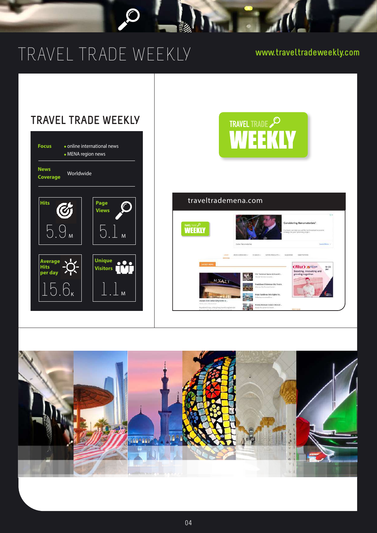# TRAVEL TRADE WEEKLY

 $\overline{\mathcal{C}}$ 

l

**www.traveltradeweekly.com**



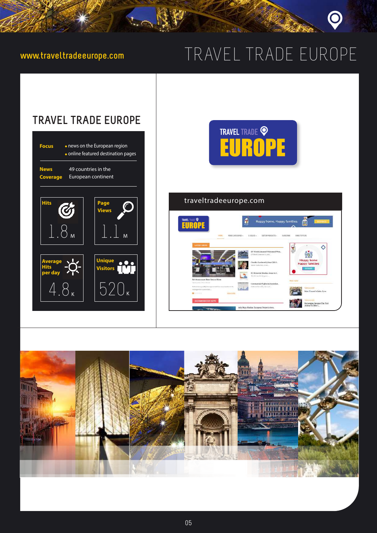Lot

# **www.traveltradeeurope.com** TRAVEL TRADE EUROPE



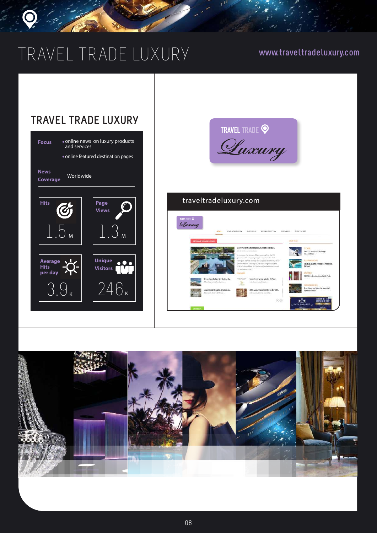# TRAVEL TRADE LUXURY **www.traveltradeluxury.com**





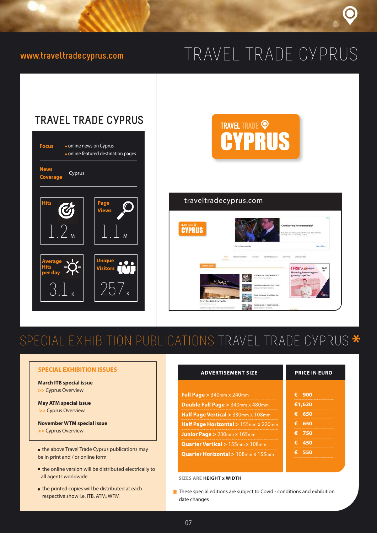# **www.traveltradecyprus.com** TRAVEL TRADE CYPRUS





 $\bullet$  the printed copies will be distributed at each respective show i.e. ITB, ATM, WTM

all agents worldwide

 $\sim$  07  $\sim$  07  $\sim$  07  $\sim$  07  $\sim$ 



## traveltradecyprus.com



## SPECIAL EXHIBITION PUBLICATIONS TRAVEL TRADE CYPRUS \*

| <b>SPECIAL EXHIBITION ISSUES</b>                                                     | <b>ADVERTISEMENT SIZE</b>                      | <b>PRICE IN EURO</b> |  |
|--------------------------------------------------------------------------------------|------------------------------------------------|----------------------|--|
| <b>March ITB special issue</b>                                                       |                                                |                      |  |
| >> Cyprus Overview                                                                   | <b>Full Page &gt; 340mm x 240mm</b>            | €<br>900             |  |
| <b>May ATM special issue</b>                                                         | <b>Double Full Page</b> $> 340$ mm x 480mm     | €1,620               |  |
| >> Cyprus Overview                                                                   | <b>Half Page Vertical</b> $> 330$ mm x 108mm   | €<br>650             |  |
| <b>November WTM special issue</b>                                                    | <b>Half Page Horizontal &gt; 155mm x 220mm</b> | €<br>650             |  |
| >> Cyprus Overview                                                                   | <b>Junior Page &gt; 230mm x 165mm</b>          | 750<br>€             |  |
|                                                                                      | <b>Quarter Vertical &gt; 155mm x 108mm</b>     | €<br>450             |  |
| • the above Travel Trade Cyprus publications may<br>be in print and / or online form | <b>Quarter Horizontal &gt; 108mm x 155mm</b>   | €<br>550             |  |
| • the online version will be distributed electrically to                             |                                                |                      |  |

**SIZES ARE HEIGHT x WIDTH**

These special editions are subject to Covid - conditions and exhibition date changes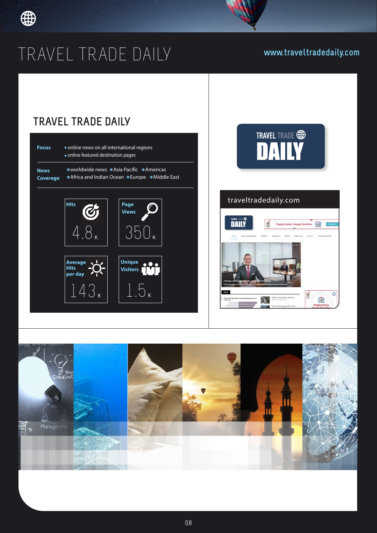

# TRAVEL TRADE DAILY **www.traveltradedaily.com**

## **TRAVEL TRADE DAILY**

143 <sup>K</sup>



1.5 <sup>K</sup>





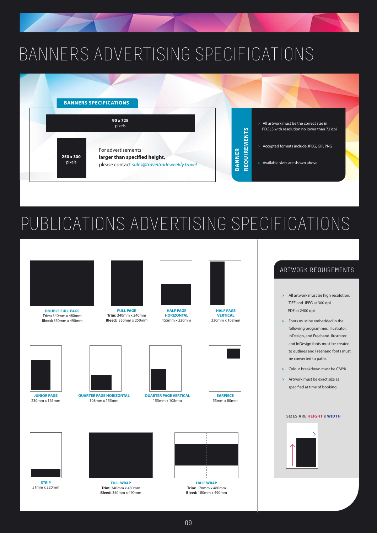# BANNERS ADVERTISING SPECIFICATIONS



# PUBLICATIONS ADVERTISING SPECIFICATIONS



**DOUBLE FULL PAGE Trim:** 340mm x 480mm **Bleed:** 350mm x 490mm

**FULL PAGE Trim:** 340mm x 240mm **Bleed:** 350mm x 250mm





**VERTICAL** 330mm x 108mm



**JUNIOR PAGE** 230mm x 165mm



**QUARTER PAGE HORIZONTAL** 108mm x 155mm



**QUARTER PAGE VERTICAL** 155mm x 108mm



**EARPIECE** 55mm x 80mm



**STRIP** 51mm x 220mm



**FULL WRAP Trim:** 340mm x 480mm **Bleed:** 350mm x 490mm



**HALF WRAP Trim:** 170mm x 480mm **Bleed:** 180mm x 490mm

## ARTWORK REQUIREMENTS

- **>** All artwork must be high resolution. TIFF and JPEG at 300 dpi PDF at 2400 dpi
- **>** Fonts must be embedded in the following programmes: Illustrator, InDesign, and Freehand. Ilustrator and InDesign fonts must be created to outlines and Freehand fonts must be converted to paths.
- **>** Colour breakdown must be CMYK.
- **>** Artwork must be exact size as specified at time of booking.

### **SIZES ARE HEIGHT x WIDTH**

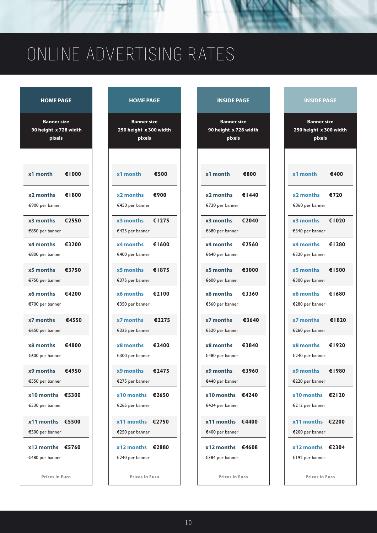# ONLINE ADVERTISING RATES

| <b>HOME PAGE</b>                                      | <b>HOME PAGE</b>                                       | <b>INSIDE PAGE</b><br><b>INSIDE PAGE</b>                                                            |                             |
|-------------------------------------------------------|--------------------------------------------------------|-----------------------------------------------------------------------------------------------------|-----------------------------|
| <b>Banner size</b><br>90 height x 728 width<br>pixels | <b>Banner size</b><br>250 height x 300 width<br>pixels | <b>Banner size</b><br><b>Banner size</b><br>250 height x 300 wid<br>90 height x 728 width<br>pixels |                             |
| €1000                                                 | €500                                                   | €800                                                                                                | €400                        |
| x1 month                                              | x1 month                                               | x1 month                                                                                            | x1 month                    |
| €1800                                                 | €900                                                   | €1440                                                                                               | €720                        |
| x2 months                                             | x2 months                                              | x2 months                                                                                           | x2 months                   |
| €900 per banner                                       | €450 per banner                                        | €720 per banner                                                                                     | €360 per banner             |
| x3 months                                             | x3 months                                              | €2040                                                                                               | €102                        |
| €2550                                                 | €1275                                                  | x3 months                                                                                           | x3 months                   |
| €850 per banner                                       | €425 per banner                                        | €680 per banner                                                                                     | €340 per banner             |
| x4 months                                             | €1600                                                  | €2560                                                                                               | €128                        |
| €3200                                                 | x4 months                                              | x4 months                                                                                           | x4 months                   |
| €800 per banner                                       | €400 per banner                                        | €640 per banner                                                                                     | €320 per banner             |
| €3750                                                 | €1875                                                  | €3000                                                                                               | €150                        |
| x5 months                                             | x5 months                                              | x5 months                                                                                           | x5 months                   |
| €750 per banner                                       | €375 per banner                                        | €600 per banner                                                                                     | €300 per banner             |
| €4200                                                 | €2100                                                  | €3360                                                                                               | €168                        |
| x6 months                                             | <b>x6 months</b>                                       | x6 months                                                                                           | x6 months                   |
| €700 per banner                                       | €350 per banner                                        | €560 per banner                                                                                     | €280 per banner             |
| €4550                                                 | €2275                                                  | €3640                                                                                               | €182                        |
| x7 months                                             | x7 months                                              | x7 months                                                                                           | x7 months                   |
| €650 per banner                                       | €325 per banner                                        | €520 per banner                                                                                     | €260 per banner             |
| x8 months                                             | x8 months                                              | x8 months                                                                                           | €192                        |
| €4800                                                 | €2400                                                  | €3840                                                                                               | x8 months                   |
| €600 per banner                                       | €300 per banner                                        | €480 per banner                                                                                     | €240 per banner             |
| €4950                                                 | €2475                                                  | €3960                                                                                               | €198                        |
| x9 months                                             | x9 months                                              | x9 months                                                                                           | x9 months                   |
| €550 per banner                                       | €275 per banner                                        | €440 per banner                                                                                     | €220 per banner             |
| $x10$ months $£5300$                                  | $x10$ months $\epsilon$ 2650                           | $x10$ months $€4240$                                                                                | $x10$ months $\epsilon$ 212 |
| €530 per banner                                       | €265 per banner                                        | €424 per banner                                                                                     | €212 per banner             |
| x11 months €5500                                      | $x11$ months $\epsilon$ 2750                           | $x11$ months $€4400$                                                                                | x11 months €220             |
| €500 per banner                                       | €250 per banner                                        | €400 per banner                                                                                     | €200 per banner             |
| $x12$ months $£5760$                                  | $x12$ months $\epsilon$ 2880                           | $x12$ months $\epsilon$ 4608                                                                        | x12 months €230             |
| €480 per banner                                       | €240 per banner                                        | €384 per banner                                                                                     | €192 per banner             |
| Prices in Euro                                        | Prices in Euro                                         | Prices in Euro                                                                                      | Prices in Euro              |

### **HOME PAGE AND RESIDE PAGE INSIDE PAGE INSIDE PAGE**

| x1 month        | €500 |
|-----------------|------|
| x2 months       | €900 |
| €450 per banner |      |

| <b>Banner size</b><br>90 height x 728 width<br>pixels |       |  |  |  |
|-------------------------------------------------------|-------|--|--|--|
|                                                       |       |  |  |  |
| x1 month                                              | €800  |  |  |  |
| x2 months                                             | €1440 |  |  |  |
| €720 per banner                                       |       |  |  |  |
| x3 months                                             | €2040 |  |  |  |
| €680 per banner                                       |       |  |  |  |
| x4 months                                             | €2560 |  |  |  |
| €640 per banner                                       |       |  |  |  |
| x5 months                                             | €3000 |  |  |  |
| €600 per banner                                       |       |  |  |  |
| x6 months                                             | €3360 |  |  |  |
| €560 per banner                                       |       |  |  |  |
| x7 months                                             | €3640 |  |  |  |
| €520 per banner                                       |       |  |  |  |
| x8 months                                             | €3840 |  |  |  |
| €480 per banner                                       |       |  |  |  |
| x9 months                                             | €3960 |  |  |  |
| €440 per banner                                       |       |  |  |  |
| x10 months                                            | €4240 |  |  |  |

| <b>Banner size</b><br>250 height x 300 width<br>pixels |       |  |  |  |
|--------------------------------------------------------|-------|--|--|--|
|                                                        |       |  |  |  |
| x1 month                                               | €400  |  |  |  |
| x2 months €720<br>€360 per banner                      |       |  |  |  |
| x3 months €1020<br>€340 per banner                     |       |  |  |  |
| $x4$ months $\epsilon$   280<br>€320 per banner        |       |  |  |  |
| x5 months €1500<br>€300 per banner                     |       |  |  |  |
| $x6$ months €1680<br>€280 per banner                   |       |  |  |  |
| $x7$ months $\epsilon$ 1820<br>€260 per banner         |       |  |  |  |
| x8 months €1920<br>€240 per banner                     |       |  |  |  |
| x9 months<br>€220 per banner                           | €1980 |  |  |  |
| $x10$ months €2120<br>€212 per banner                  |       |  |  |  |
| x11 months €2200<br>€200 per banner                    |       |  |  |  |
| $x12$ months $£2304$<br>€192 per banner                |       |  |  |  |
| Prices in Euro                                         |       |  |  |  |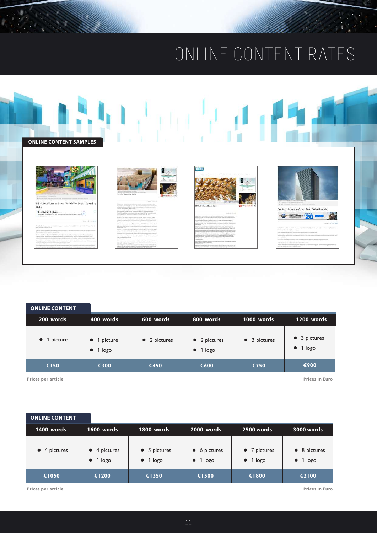# ONLINE CONTENT RATES



| <b>ONLINE CONTENT</b> |
|-----------------------|
|-----------------------|

| 200 words           | 400 words                               | 600 words            | 800 words                                | 1000 words           | 1200 words                       |
|---------------------|-----------------------------------------|----------------------|------------------------------------------|----------------------|----------------------------------|
| $\bullet$ 1 picture | $\bullet$ 1 picture<br>$\bullet$ 1 logo | $\bullet$ 2 pictures | $\bullet$ 2 pictures<br>$\bullet$ 1 logo | $\bullet$ 3 pictures | • 3 pictures<br>$\bullet$ 1 logo |
| €150                | €300                                    | €450                 | €600                                     | €750                 | €900                             |

**Prices per article**

**Prices in Euro**

| <b>ONLINE CONTENT</b> |                                          |                                          |                                  |                                          |                                  |
|-----------------------|------------------------------------------|------------------------------------------|----------------------------------|------------------------------------------|----------------------------------|
| 1400 words            | 1600 words                               | 1800 words                               | 2000 words                       | 2500 words                               | 3000 words                       |
| $\bullet$ 4 pictures  | $\bullet$ 4 pictures<br>$\bullet$ 1 logo | $\bullet$ 5 pictures<br>$\bullet$ 1 logo | • 6 pictures<br>$\bullet$ 1 logo | $\bullet$ 7 pictures<br>$\bullet$ 1 logo | • 8 pictures<br>$\bullet$ 1 logo |
| €1050                 | €1200                                    | €1350                                    | €1500                            | €1800                                    | €2100                            |

**Prices per article**

**Prices in Euro**